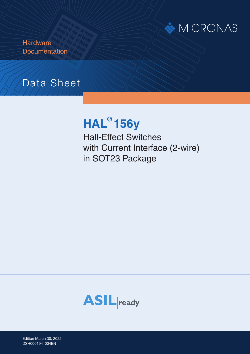# **MICRONAS**

**Hardware Documentation** 

# Data Sheet

# **HAL® 156y**

Hall-Effect Switches with Current Interface (2-wire) in SOT23 Package



Edition March 30, 2022 Edition March 30, 20<br>DSH000194\_004EN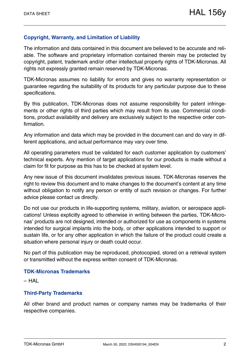### **Copyright, Warranty, and Limitation of Liability**

The information and data contained in this document are believed to be accurate and reliable. The software and proprietary information contained therein may be protected by copyright, patent, trademark and/or other intellectual property rights of TDK-Micronas. All rights not expressly granted remain reserved by TDK-Micronas.

TDK-Micronas assumes no liability for errors and gives no warranty representation or guarantee regarding the suitability of its products for any particular purpose due to these specifications.

By this publication, TDK-Micronas does not assume responsibility for patent infringements or other rights of third parties which may result from its use. Commercial conditions, product availability and delivery are exclusively subject to the respective order confirmation.

Any information and data which may be provided in the document can and do vary in different applications, and actual performance may vary over time.

All operating parameters must be validated for each customer application by customers' technical experts. Any mention of target applications for our products is made without a claim for fit for purpose as this has to be checked at system level.

Any new issue of this document invalidates previous issues. TDK-Micronas reserves the right to review this document and to make changes to the document's content at any time without obligation to notify any person or entity of such revision or changes. For further advice please contact us directly.

Do not use our products in life-supporting systems, military, aviation, or aerospace applications! Unless explicitly agreed to otherwise in writing between the parties, TDK-Micronas' products are not designed, intended or authorized for use as components in systems intended for surgical implants into the body, or other applications intended to support or sustain life, or for any other application in which the failure of the product could create a situation where personal injury or death could occur.

No part of this publication may be reproduced, photocopied, stored on a retrieval system or transmitted without the express written consent of TDK-Micronas.

#### **TDK-Micronas Trademarks**

– HAL

#### **Third-Party Trademarks**

All other brand and product names or company names may be trademarks of their respective companies.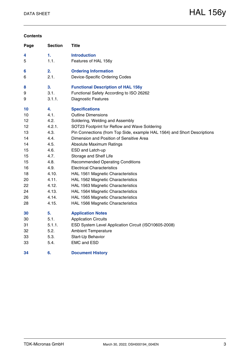#### **Contents**

| Page | <b>Section</b> | Title                                                                    |
|------|----------------|--------------------------------------------------------------------------|
| 4    | 1.             | <b>Introduction</b>                                                      |
| 5    | 1.1.           | Features of HAL 156y                                                     |
| 6    | 2.             | <b>Ordering Information</b>                                              |
| 6    | 2.1.           | Device-Specific Ordering Codes                                           |
| 8    | 3.             | <b>Functional Description of HAL 156y</b>                                |
| 9    | 3.1.           | Functional Safety According to ISO 26262                                 |
| 9    | 3.1.1.         | <b>Diagnostic Features</b>                                               |
| 10   | 4.             | <b>Specifications</b>                                                    |
| 10   | 4.1.           | <b>Outline Dimensions</b>                                                |
| 12   | 4.2.           | Soldering, Welding and Assembly                                          |
| 12   | 4.2.1.         | SOT23 Footprint for Reflow and Wave Soldering                            |
| 13   | 4.3.           | Pin Connections (from Top Side, example HAL 1564) and Short Descriptions |
| 14   | 4.4.           | Dimension and Position of Sensitive Area                                 |
| 14   | 4.5.           | <b>Absolute Maximum Ratings</b>                                          |
| 15   | 4.6.           | ESD and Latch-up                                                         |
| 15   | 4.7.           | Storage and Shelf Life                                                   |
| 15   | 4.8.           | <b>Recommended Operating Conditions</b>                                  |
| 16   | 4.9.           | <b>Electrical Characteristics</b>                                        |
| 18   | 4.10.          | HAL 1561 Magnetic Characteristics                                        |
| 20   | 4.11.          | HAL 1562 Magnetic Characteristics                                        |
| 22   | 4.12.          | HAL 1563 Magnetic Characteristics                                        |
| 24   | 4.13.          | HAL 1564 Magnetic Characteristics                                        |
| 26   | 4.14.          | HAL 1565 Magnetic Characteristics                                        |
| 28   | 4.15.          | HAL 1566 Magnetic Characteristics                                        |
| 30   | 5.             | <b>Application Notes</b>                                                 |
| 30   | 5.1.           | <b>Application Circuits</b>                                              |
| 31   | 5.1.1.         | ESD System Level Application Circuit (ISO10605-2008)                     |
| 32   | 5.2.           | <b>Ambient Temperature</b>                                               |
| 33   | 5.3.           | Start-Up Behavior                                                        |
| 33   | 5.4.           | <b>EMC and ESD</b>                                                       |
| 34   | 6.             | <b>Document History</b>                                                  |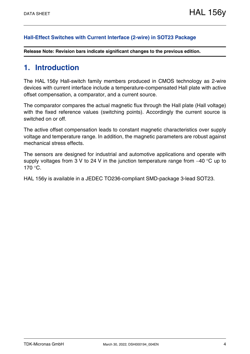#### **[Hall-Effect Switches with Current Interface \(2-wire\) in SOT23 Package](#page--1-1)**

**Release Note: Revision bars indicate significant changes to the previous edition.**

## <span id="page-3-0"></span>**1. Introduction**

The HAL 156y Hall-switch family members produced in CMOS technology as 2-wire devices with current interface include a temperature-compensated Hall plate with active offset compensation, a comparator, and a current source.

The comparator compares the actual magnetic flux through the Hall plate (Hall voltage) with the fixed reference values (switching points). Accordingly the current source is switched on or off.

The active offset compensation leads to constant magnetic characteristics over supply voltage and temperature range. In addition, the magnetic parameters are robust against mechanical stress effects.

The sensors are designed for industrial and automotive applications and operate with supply voltages from 3 V to 24 V in the junction temperature range from  $-40$  °C up to  $170 °C$ .

HAL 156y is available in a JEDEC TO236-compliant SMD-package 3-lead SOT23.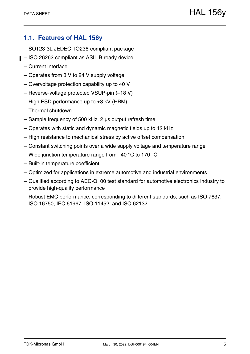## <span id="page-4-0"></span>**1.1. Features of HAL 156y**

- SOT23-3L JEDEC TO236-compliant package
- ISO 26262 compliant as ASIL B ready device
	- Current interface
	- Operates from 3 V to 24 V supply voltage
	- Overvoltage protection capability up to 40 V
	- $-$  Reverse-voltage protected VSUP-pin  $(-18 V)$
	- High ESD performance up to  $\pm 8$  kV (HBM)
	- Thermal shutdown
	- Sample frequency of 500 kHz, 2 µs output refresh time
	- Operates with static and dynamic magnetic fields up to 12 kHz
	- High resistance to mechanical stress by active offset compensation
	- Constant switching points over a wide supply voltage and temperature range
	- Wide junction temperature range from  $-40$  °C to 170 °C
	- Built-in temperature coefficient
	- Optimized for applications in extreme automotive and industrial environments
	- Qualified according to AEC-Q100 test standard for automotive electronics industry to provide high-quality performance
	- Robust EMC performance, corresponding to different standards, such as ISO 7637, ISO 16750, IEC 61967, ISO 11452, and ISO 62132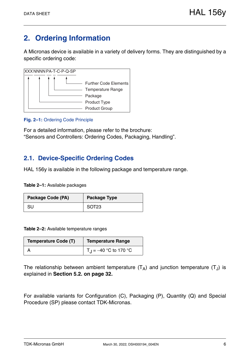# <span id="page-5-0"></span>**2. Ordering Information**

A Micronas device is available in a variety of delivery forms. They are distinguished by a specific ordering code:



#### **Fig. 2–1:** Ordering Code Principle

For a detailed information, please refer to the brochure: "Sensors and Controllers: Ordering Codes, Packaging, Handling".

## <span id="page-5-1"></span>**2.1. Device-Specific Ordering Codes**

HAL 156y is available in the following package and temperature range.

**Table 2–1:** Available packages

| Package Code (PA) | <b>Package Type</b> |
|-------------------|---------------------|
| SU                | SOT <sub>23</sub>   |

**Table 2–2:** Available temperature ranges

| <b>Temperature Code (T)</b> | Temperature Range                         |
|-----------------------------|-------------------------------------------|
|                             | $T_{\text{H}} = -40 \text{ °C}$ to 170 °C |

The relationship between ambient temperature  $(T_A)$  and junction temperature  $(T_J)$  is explained in **[Section 5.2. on page 32](#page-31-1).**

For available variants for Configuration (C), Packaging (P), Quantity (Q) and Special Procedure (SP) please contact TDK-Micronas.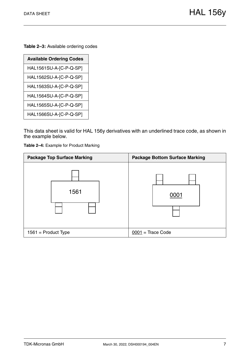**Table 2–3:** Available ordering codes

| <b>Available Ordering Codes</b> |
|---------------------------------|
| HAL1561SU-A-[C-P-Q-SP]          |
| HAL1562SU-A-[C-P-Q-SP]          |
| HAL1563SU-A-[C-P-Q-SP]          |
| HAL1564SU-A-[C-P-Q-SP]          |
| HAL1565SU-A-[C-P-Q-SP]          |
| HAL1566SU-A-[C-P-Q-SP]          |

This data sheet is valid for HAL 156y derivatives with an underlined trace code, as shown in the example below.

<span id="page-6-0"></span>**Table 2–4:** Example for Product Marking

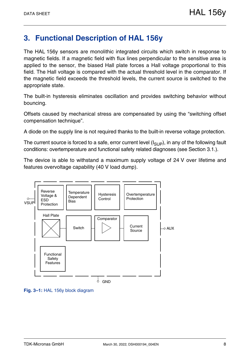# <span id="page-7-0"></span>**3. Functional Description of HAL 156y**

The HAL 156y sensors are monolithic integrated circuits which switch in response to magnetic fields. If a magnetic field with flux lines perpendicular to the sensitive area is applied to the sensor, the biased Hall plate forces a Hall voltage proportional to this field. The Hall voltage is compared with the actual threshold level in the comparator. If the magnetic field exceeds the threshold levels, the current source is switched to the appropriate state.

The built-in hysteresis eliminates oscillation and provides switching behavior without bouncing.

Offsets caused by mechanical stress are compensated by using the "switching offset compensation technique".

A diode on the supply line is not required thanks to the built-in reverse voltage protection.

The current source is forced to a safe, error current level  $(I_{\text{SUP}})$ , in any of the following fault conditions: overtemperature and functional safety related diagnoses [\(see Section 3.1.\)](#page-8-0).

The device is able to withstand a maximum supply voltage of 24 V over lifetime and features overvoltage capability (40 V load dump).



**Fig. 3–1:** HAL 156y block diagram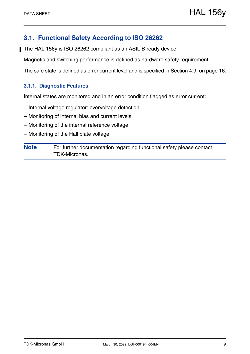## <span id="page-8-0"></span>**3.1. Functional Safety According to ISO 26262**

The HAL 156y is ISO 26262 compliant as an ASIL B ready device.

Magnetic and switching performance is defined as hardware safety requirement.

The safe state is defined as error current level and is specified in [Section 4.9. on page 16](#page-15-1).

#### <span id="page-8-1"></span>**3.1.1. Diagnostic Features**

Internal states are monitored and in an error condition flagged as error current:

- Internal voltage regulator: overvoltage detection
- Monitoring of internal bias and current levels
- Monitoring of the internal reference voltage
- Monitoring of the Hall plate voltage

**Note** For further documentation regarding functional safety please contact TDK-Micronas.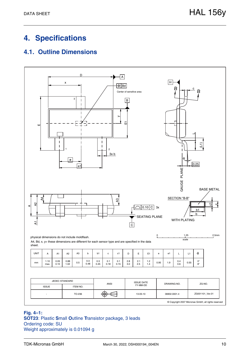# <span id="page-9-0"></span>**4. Specifications**

## <span id="page-9-1"></span>**4.1. Outline Dimensions**



**Fig. 4–1:**

**SOT23**: Plastic **S**mall **O**utline **T**ransistor package, 3 leads Ordering code: SU Weight approximately is 0.01094 g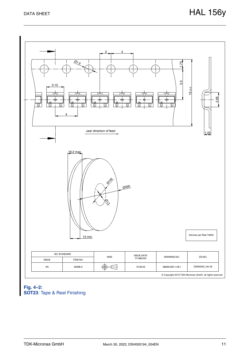

#### <span id="page-10-0"></span>**Fig. 4–2: SOT23**: Tape & Reel Finishing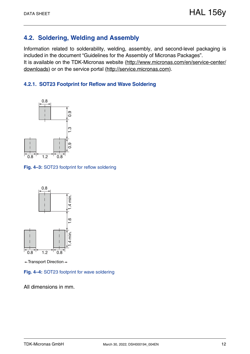## <span id="page-11-0"></span>**4.2. Soldering, Welding and Assembly**

Information related to solderability, welding, assembly, and second-level packaging is included in the document "Guidelines for the Assembly of Micronas Packages". It is available on the TDK-Micronas website [\(http://www.micronas.com/en/service-center/](http://www.micronas.com/en/service-center/downloads) [download](http://www.micronas.com/en/service-center/downloads)s) or on the service portal [\(http://service.micronas.com\)](http://service.micronas.com).

## <span id="page-11-1"></span>**4.2.1. SOT23 Footprint for Reflow and Wave Soldering**



**Fig. 4–3:** SOT23 footprint for reflow soldering



 $\leftarrow$ Transport Direction $\leftarrow$ 

**Fig. 4–4:** SOT23 footprint for wave soldering

All dimensions in mm.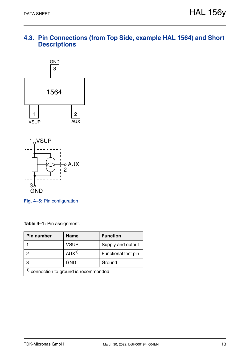## <span id="page-12-0"></span>**4.3. Pin Connections (from Top Side, example HAL 1564) and Short Descriptions**



**Fig. 4–5:** Pin configuration

**Table 4–1:** Pin assignment.

| Pin number                          | <b>Name</b>      | <b>Function</b>     |  |  |  |  |
|-------------------------------------|------------------|---------------------|--|--|--|--|
|                                     | <b>VSUP</b>      | Supply and output   |  |  |  |  |
| っ                                   | AUX <sup>1</sup> | Functional test pin |  |  |  |  |
| З                                   | <b>GND</b>       | Ground              |  |  |  |  |
| connection to ground is recommended |                  |                     |  |  |  |  |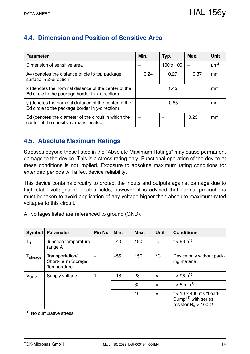## <span id="page-13-0"></span>**4.4. Dimension and Position of Sensitive Area**

| <b>Parameter</b>                                                                                        | Min. | Typ.             | Max. | Unit                 |
|---------------------------------------------------------------------------------------------------------|------|------------------|------|----------------------|
| Dimension of sensitive area                                                                             |      | $100 \times 100$ |      | $\mu$ m <sup>2</sup> |
| A4 (denotes the distance of die to top package)<br>surface in Z-direction)                              | 0.24 | 0.27             | 0.37 | mm                   |
| x (denotes the nominal distance of the center of the<br>Bd circle to the package border in x-direction) |      | 1.45             |      | mm                   |
| y (denotes the nominal distance of the center of the<br>Bd circle to the package border in y-direction) |      | 0.65             |      |                      |
| Bd (denotes the diameter of the circuit in which the<br>center of the sensitive area is located)        |      |                  | 0.23 | mm                   |

## <span id="page-13-1"></span>**4.5. Absolute Maximum Ratings**

Stresses beyond those listed in the "Absolute Maximum Ratings" may cause permanent damage to the device. This is a stress rating only. Functional operation of the device at these conditions is not implied. Exposure to absolute maximum rating conditions for extended periods will affect device reliability.

This device contains circuitry to protect the inputs and outputs against damage due to high static voltages or electric fields; however, it is advised that normal precautions must be taken to avoid application of any voltage higher than absolute maximum-rated voltages to this circuit.

All voltages listed are referenced to ground (GND).

| Symbol               | <b>Parameter</b>                                            | <b>Pin No</b>            | Min.  | Max. | <b>Unit</b>     | <b>Conditions</b>                                                                                            |
|----------------------|-------------------------------------------------------------|--------------------------|-------|------|-----------------|--------------------------------------------------------------------------------------------------------------|
| $T_{\rm J}$          | Junction temperature<br>range A                             | $\overline{\phantom{m}}$ | $-40$ | 190  | $\rm ^{\circ}C$ | $t < 96 h^{1}$                                                                                               |
| $T_{\text{storage}}$ | Transportation/<br>Short-Term Storage<br><b>Temperature</b> |                          | $-55$ | 150  | $\rm ^{\circ}C$ | Device only without pack-<br>ing material.                                                                   |
| $V_{SUP}$            | Supply voltage                                              |                          | $-18$ | 28   | $\vee$          | $t < 96 h^{1}$                                                                                               |
|                      |                                                             |                          |       | 32   | $\vee$          | $t < 5$ min <sup>1)</sup>                                                                                    |
|                      |                                                             |                          |       | 40   | $\vee$          | $t < 10 \times 400$ ms "Load-<br>Dump <sup>"1)</sup> with series<br>resistor R <sub>V</sub> > 100 $\Omega$ . |
|                      | $1$ No cumulative stress                                    |                          |       |      |                 |                                                                                                              |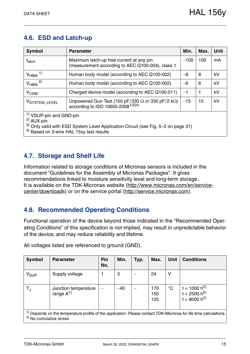## <span id="page-14-0"></span>**4.6. ESD and Latch-up**

| <b>Symbol</b>                                                                                                                                                                                                | <b>Parameter</b>                                                                                                  | Min.   | Max. | <b>Unit</b> |  |  |  |  |
|--------------------------------------------------------------------------------------------------------------------------------------------------------------------------------------------------------------|-------------------------------------------------------------------------------------------------------------------|--------|------|-------------|--|--|--|--|
| <b>I</b> latch                                                                                                                                                                                               | Maximum latch-up free current at any pin<br>(measurement according to AEC Q100-004), class 1                      | $-100$ | 100  | mA          |  |  |  |  |
| $V_{HBM}$ <sup>1)</sup>                                                                                                                                                                                      | Human body model (according to AEC Q100-002)                                                                      | $-8$   | 8    | kV          |  |  |  |  |
| $V_{HBM}$ <sup>2)</sup>                                                                                                                                                                                      | Human body model (according to AEC Q100-002)                                                                      | $-6$   | 6    | kV          |  |  |  |  |
| V <sub>CDM</sub>                                                                                                                                                                                             | Charged device model (according to AEC Q100-011)                                                                  | $-1$   | 1    | kV          |  |  |  |  |
| VSYSTEM_LEVEL                                                                                                                                                                                                | Unpowered Gun Test (150 pF/330 $\Omega$ or 330 pF/2 k $\Omega$ )<br>according to ISO 10605-2008 <sup>1)3)4)</sup> | $-15$  | 15   | kV          |  |  |  |  |
| <sup>1)</sup> VSUP-pin and GND-pin<br>$^{2)}$ AUX-pin<br><sup>3)</sup> Only valid with ESD System Level Application Circuit (see Fig. 5-2 on page 31)<br><sup>4)</sup> Based on 3-wire HAL 15xy test results |                                                                                                                   |        |      |             |  |  |  |  |

## <span id="page-14-1"></span>**4.7. Storage and Shelf Life**

Information related to storage conditions of Micronas sensors is included in the document "Guidelines for the Assembly of Micronas Packages". It gives recommendations linked to moisture sensitivity level and long-term storage. It is available on the TDK-Micronas website ([http://www.micronas.com/en/service](http://www.micronas.com/en/service-center/downloads)[center/download](http://www.micronas.com/en/service-center/downloads)s) or on the service portal (<http://service.micronas.com>).

## <span id="page-14-2"></span>**4.8. Recommended Operating Conditions**

Functional operation of the device beyond those indicated in the "Recommended Operating Conditions" of this specification is not implied, may result in unpredictable behavior of the device, and may reduce reliability and lifetime.

| <b>Symbol</b>                                                                                                                                                      | <b>Parameter</b>                      | Pin<br>No. | Min.  | Typ. | Max.              | <b>Unit</b> | <b>Conditions</b>                                                |
|--------------------------------------------------------------------------------------------------------------------------------------------------------------------|---------------------------------------|------------|-------|------|-------------------|-------------|------------------------------------------------------------------|
| $\mathsf{V}_{\texttt{SUP}}$                                                                                                                                        | Supply voltage                        |            | 3     |      | 24                | v           |                                                                  |
| $T_{\rm J}$                                                                                                                                                        | Junction temperature<br>range $A^{1}$ |            | $-40$ |      | 170<br>150<br>125 | $^{\circ}C$ | t < 1000 h <sup>2)</sup><br>$t < 2500 h^{2}$<br>$t < 8000 h^{2}$ |
| <sup>1)</sup> Depends on the temperature profile of the application. Please contact TDK-Micronas for life time calculations.<br><sup>2)</sup> No cumulative stress |                                       |            |       |      |                   |             |                                                                  |

All voltages listed are referenced to ground (GND).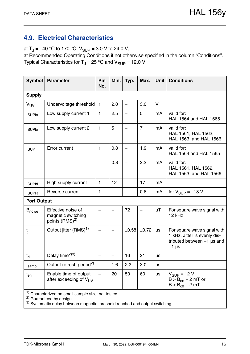## <span id="page-15-1"></span><span id="page-15-0"></span>**4.9. Electrical Characteristics**

at  $T_J = -40$  °C to 170 °C,  $V_{SUP} = 3.0$  V to 24.0 V,

at Recommended Operating Conditions if not otherwise specified in the column "Conditions". Typical Characteristics for  $T_J = 25$  °C and  $V_{\text{SUP}} = 12.0$  V

| <b>Symbol</b>                                                | <b>Parameter</b>                                                       | Pin<br>No.               | Min.                     | Typ.                     | Max.           | <b>Unit</b> | <b>Conditions</b>                                                                                      |  |
|--------------------------------------------------------------|------------------------------------------------------------------------|--------------------------|--------------------------|--------------------------|----------------|-------------|--------------------------------------------------------------------------------------------------------|--|
| <b>Supply</b>                                                |                                                                        |                          |                          |                          |                |             |                                                                                                        |  |
| V <sub>UV</sub>                                              | Undervoltage threshold                                                 | $\mathbf{1}$             | 2.0                      | $\overline{\phantom{0}}$ | 3.0            | V           |                                                                                                        |  |
| <b>I</b> SUPIO                                               | Low supply current 1                                                   | $\mathbf{1}$             | 2.5                      |                          | 5              | mA          | valid for:<br>HAL 1564 and HAL 1565                                                                    |  |
| <b>I</b> SUPIO                                               | Low supply current 2                                                   | $\mathbf{1}$             | 5                        |                          | $\overline{7}$ | mA          | valid for:<br>HAL 1561, HAL 1562,<br>HAL 1563, and HAL 1566                                            |  |
| $I_{\text{SUP}}$                                             | Error current                                                          | $\mathbf{1}$             | 0.8                      |                          | 1.9            | mA          | valid for:<br>HAL 1564 and HAL 1565                                                                    |  |
|                                                              |                                                                        |                          | 0.8                      |                          | 2.2            | mA          | valid for:<br>HAL 1561, HAL 1562,<br>HAL 1563, and HAL 1566                                            |  |
| <b>I</b> SUPhi                                               | High supply current                                                    | $\mathbf{1}$             | 12                       | $\overline{\phantom{0}}$ | 17             | mA          |                                                                                                        |  |
| <b>I</b> <sub>SUPR</sub>                                     | Reverse current                                                        | 1                        |                          |                          | 0.6            | mA          | for $V_{\text{SUP}} = -18$ V                                                                           |  |
| <b>Port Output</b>                                           |                                                                        |                          |                          |                          |                |             |                                                                                                        |  |
| <b>B</b> <sub>noise</sub>                                    | Effective noise of<br>magnetic switching<br>points (RMS) <sup>2)</sup> |                          | $\overline{\phantom{0}}$ | 72                       |                | $\mu$ T     | For square wave signal with<br>12 kHz                                                                  |  |
| t <sub>i</sub>                                               | Output jitter (RMS) <sup>1)</sup>                                      |                          |                          | ±0.58                    | ±0.72          | μs          | For square wave signal with<br>1 kHz. Jitter is evenly dis-<br>tributed between $-1$ µs and<br>$+1$ µs |  |
| $t_d$                                                        | Delay time <sup>2)3)</sup>                                             |                          |                          | 16                       | 21             | μs          |                                                                                                        |  |
| t <sub>samp</sub>                                            | Output refresh period <sup>2)</sup>                                    | $\overline{\phantom{m}}$ | 1.6                      | 2.2                      | 3.0            | μs          |                                                                                                        |  |
| $t_{en}$                                                     | Enable time of output<br>after exceeding of $V_{UV}$                   |                          | 20                       | 50                       | 60             | μs          | $V_{SUP} = 12 V$<br>$B > B_{on} + 2 mT$ or<br>$B < B_{off} - 2 mT$                                     |  |
| <sup>1)</sup> Characterized on small sample size, not tested |                                                                        |                          |                          |                          |                |             |                                                                                                        |  |

<sup>2)</sup> Guaranteed by design

 $^{3)}$  Systematic delay between magnetic threshold reached and output switching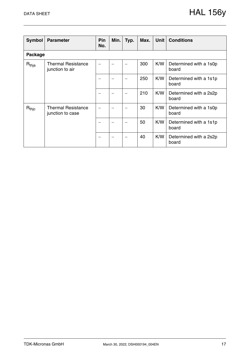| <b>Symbol</b>                | <b>Parameter</b>                              | Pin<br>No. | Min.                     | Typ. | Max. | <b>Unit</b> | <b>Conditions</b>               |  |  |  |
|------------------------------|-----------------------------------------------|------------|--------------------------|------|------|-------------|---------------------------------|--|--|--|
|                              | Package                                       |            |                          |      |      |             |                                 |  |  |  |
| $\mathsf{R}_{\mathsf{thja}}$ | <b>Thermal Resistance</b><br>junction to air  |            |                          |      | 300  | K/W         | Determined with a 1s0p<br>board |  |  |  |
|                              |                                               |            |                          |      | 250  | K/W         | Determined with a 1s1p<br>board |  |  |  |
|                              |                                               |            |                          |      | 210  | K/W         | Determined with a 2s2p<br>board |  |  |  |
| $R_{\mathsf{thjc}}$          | <b>Thermal Resistance</b><br>junction to case |            |                          |      | 30   | K/W         | Determined with a 1s0p<br>board |  |  |  |
|                              |                                               |            | $\overline{\phantom{m}}$ |      | 50   | K/W         | Determined with a 1s1p<br>board |  |  |  |
|                              |                                               |            |                          |      | 40   | K/W         | Determined with a 2s2p<br>board |  |  |  |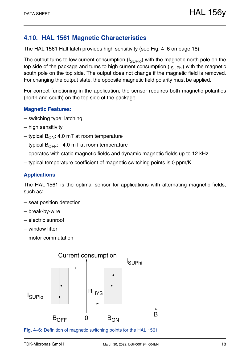## <span id="page-17-0"></span>**4.10. HAL 1561 Magnetic Characteristics**

The HAL 1561 Hall-latch provides high sensitivity [\(see Fig. 4–6 on page 18\).](#page-17-1)

The output turns to low current consumption  $(I_{\text{SUPIO}})$  with the magnetic north pole on the top side of the package and turns to high current consumption  $(I_{\text{SI}},I_{\text{Phi}})$  with the magnetic south pole on the top side. The output does not change if the magnetic field is removed. For changing the output state, the opposite magnetic field polarity must be applied.

For correct functioning in the application, the sensor requires both magnetic polarities (north and south) on the top side of the package.

### **Magnetic Features:**

- switching type: latching
- high sensitivity
- typical  $B_{ON}$ : 4.0 mT at room temperature
- typical  $B_{\text{OFF}}$ : –4.0 mT at room temperature
- operates with static magnetic fields and dynamic magnetic fields up to 12 kHz
- typical temperature coefficient of magnetic switching points is 0 ppm/K

### **Applications**

The HAL 1561 is the optimal sensor for applications with alternating magnetic fields, such as:

- seat position detection
- break-by-wire
- electric sunroof
- window lifter
- motor commutation



<span id="page-17-1"></span>**Fig. 4–6:** Definition of magnetic switching points for the HAL 1561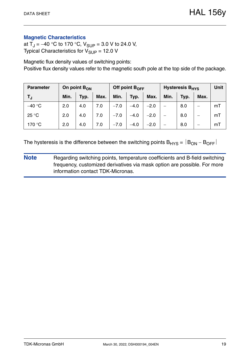### **Magnetic Characteristics**

at  $T_J = -40$  °C to 170 °C,  $V_{SUP} = 3.0$  V to 24.0 V, Typical Characteristics for  $V_{\text{SUP}} = 12.0 \text{ V}$ 

Magnetic flux density values of switching points: Positive flux density values refer to the magnetic south pole at the top side of the package.

| <b>Parameter</b> | On point $B_{ON}$ |      |      | Off point $B_{\text{OFF}}$ |        |        | Hysteresis B <sub>HYS</sub> | <b>Unit</b> |      |    |
|------------------|-------------------|------|------|----------------------------|--------|--------|-----------------------------|-------------|------|----|
| TJ.              | Min.              | Typ. | Max. | Min.                       | Typ.   | Max.   | Min.                        | Typ.        | Max. |    |
| $-40 °C$         | 2.0               | 4.0  | 7.0  | $-7.0$                     | $-4.0$ | $-2.0$ |                             | 8.0         | –    | mT |
| 25 °C            | 2.0               | 4.0  | 7.0  | $-7.0$                     | $-4.0$ | $-2.0$ | —                           | 8.0         | —    | mT |
| 170 °C           | 2.0               | 4.0  | 7.0  | $-7.0$                     | $-4.0$ | $-2.0$ |                             | 8.0         | –    | mT |

The hysteresis is the difference between the switching points  $B_{HYS} = |B_{ON} - B_{OFF}|$ 

**Note** Regarding switching points, temperature coefficients and B-field switching frequency, customized derivatives via mask option are possible. For more information contact TDK-Micronas.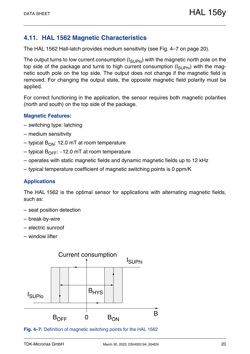## <span id="page-19-0"></span>**4.11. HAL 1562 Magnetic Characteristics**

The HAL 1562 Hall-latch provides medium sensitivity [\(see Fig. 4–7 on page 20\).](#page-19-1)

The output turns to low current consumption  $(I_{\text{SUPIO}})$  with the magnetic north pole on the top side of the package and turns to high current consumption  $(I_{\text{SIPhi}})$  with the magnetic south pole on the top side. The output does not change if the magnetic field is removed. For changing the output state, the opposite magnetic field polarity must be applied.

For correct functioning in the application, the sensor requires both magnetic polarities (north and south) on the top side of the package.

#### **Magnetic Features:**

- switching type: latching
- medium sensitivity
- typical  $B_{ON}$ : 12.0 mT at room temperature
- typical  $B_{OFF}$ : -12.0 mT at room temperature
- operates with static magnetic fields and dynamic magnetic fields up to 12 kHz
- typical temperature coefficient of magnetic switching points is 0 ppm/K

### **Applications**

The HAL 1562 is the optimal sensor for applications with alternating magnetic fields, such as:

- seat position detection
- break-by-wire
- electric sunroof
- window lifter



<span id="page-19-1"></span>**Fig. 4–7:** Definition of magnetic switching points for the HAL 1562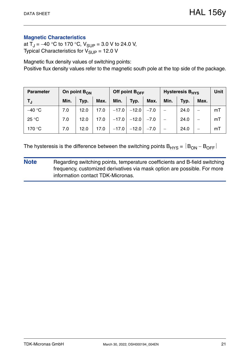### **Magnetic Characteristics**

at  $T_J = -40$  °C to 170 °C,  $V_{SUP} = 3.0$  V to 24.0 V, Typical Characteristics for  $V_{\text{SUP}} = 12.0 \text{ V}$ 

Magnetic flux density values of switching points: Positive flux density values refer to the magnetic south pole at the top side of the package.

| <b>Parameter</b> | On point $B_{ON}$ |      |      |         | Off point B <sub>OFF</sub> |        | <b>Hysteresis B<sub>HYS</sub></b> | Unit |      |    |
|------------------|-------------------|------|------|---------|----------------------------|--------|-----------------------------------|------|------|----|
| TJ.              | Min.              | Typ. | Max. | Min.    | Typ.                       | Max.   | Min.                              | Typ. | Max. |    |
| $-40 °C$         | 7.0               | 12.0 | 17.0 | $-17.0$ | $-12.0$                    | $-7.0$ |                                   | 24.0 |      | mT |
| 25 °C            | 7.0               | 12.0 | 17.0 | $-17.0$ | $-12.0$                    | $-7.0$ |                                   | 24.0 |      | mT |
| 170 °C           | 7.0               | 12.0 | 17.0 | $-17.0$ | $-12.0$                    | $-7.0$ | $\overline{\phantom{0}}$          | 24.0 |      | mT |

The hysteresis is the difference between the switching points  $B_{HYS} = |B_{ON} - B_{OFF}|$ 

**Note** Regarding switching points, temperature coefficients and B-field switching frequency, customized derivatives via mask option are possible. For more information contact TDK-Micronas.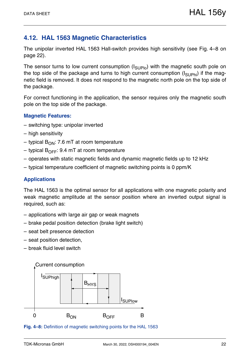## <span id="page-21-0"></span>**4.12. HAL 1563 Magnetic Characteristics**

The unipolar inverted HAL 1563 Hall-switch provides high sensitivity [\(see Fig. 4–8 on](#page-21-1) [page 22\)](#page-21-1).

The sensor turns to low current consumption  $(I_{\text{SUPIO}})$  with the magnetic south pole on the top side of the package and turns to high current consumption  $(I_{\text{SUPhi}})$  if the magnetic field is removed. It does not respond to the magnetic north pole on the top side of the package.

For correct functioning in the application, the sensor requires only the magnetic south pole on the top side of the package.

### **Magnetic Features:**

- switching type: unipolar inverted
- high sensitivity
- typical  $B_{ON}$ : 7.6 mT at room temperature
- typical  $B_{\text{OFF}}$ : 9.4 mT at room temperature
- operates with static magnetic fields and dynamic magnetic fields up to 12 kHz
- typical temperature coefficient of magnetic switching points is 0 ppm/K

### **Applications**

The HAL 1563 is the optimal sensor for all applications with one magnetic polarity and weak magnetic amplitude at the sensor position where an inverted output signal is required, such as:

- applications with large air gap or weak magnets
- brake pedal position detection (brake light switch)
- seat belt presence detection
- seat position detection,
- break fluid level switch



<span id="page-21-1"></span>**Fig. 4–8:** Definition of magnetic switching points for the HAL 1563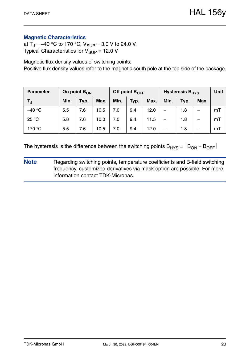### **Magnetic Characteristics**

at  $T_J = -40$  °C to 170 °C,  $V_{SUP} = 3.0$  V to 24.0 V, Typical Characteristics for  $V_{\text{SUP}} = 12.0 \text{ V}$ 

Magnetic flux density values of switching points: Positive flux density values refer to the magnetic south pole at the top side of the package.

| <b>Parameter</b> | On point B <sub>ON</sub> |      |      | Off point $B_{OFF}$ |      |      | <b>Hysteresis B<sub>HYS</sub></b> | Unit |                          |    |
|------------------|--------------------------|------|------|---------------------|------|------|-----------------------------------|------|--------------------------|----|
| T,               | Min.                     | Typ. | Max. | Min.                | Typ. | Max. | Min.                              | Typ. | Max.                     |    |
| $-40 °C$         | 5.5                      | 7.6  | 10.5 | 7.0                 | 9.4  | 12.0 | $\overline{\phantom{0}}$          | 1.8  | –                        | mT |
| 25 °C            | 5.8                      | 7.6  | 10.0 | 7.0                 | 9.4  | 11.5 | $\qquad \qquad$                   | 1.8  | $\overline{\phantom{0}}$ | mT |
| 170 °C           | 5.5                      | 7.6  | 10.5 | 7.0                 | 9.4  | 12.0 |                                   | 1.8  |                          | mT |

The hysteresis is the difference between the switching points  $B_{HYS} = |B_{ON} - B_{OFF}|$ 

**Note** Regarding switching points, temperature coefficients and B-field switching frequency, customized derivatives via mask option are possible. For more information contact TDK-Micronas.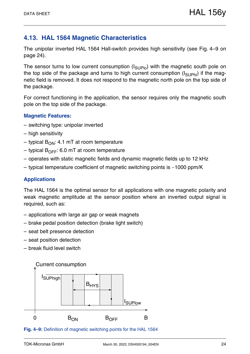## <span id="page-23-0"></span>**4.13. HAL 1564 Magnetic Characteristics**

The unipolar inverted HAL 1564 Hall-switch provides high sensitivity [\(see Fig. 4–9 on](#page-23-1) [page 24\)](#page-23-1).

The sensor turns to low current consumption  $(I_{\text{SUPIO}})$  with the magnetic south pole on the top side of the package and turns to high current consumption  $(I_{\text{SUPhi}})$  if the magnetic field is removed. It does not respond to the magnetic north pole on the top side of the package.

For correct functioning in the application, the sensor requires only the magnetic south pole on the top side of the package.

### **Magnetic Features:**

- switching type: unipolar inverted
- high sensitivity
- typical  $B_{ON}$ : 4.1 mT at room temperature
- typical  $B_{\text{OFF}}$ : 6.0 mT at room temperature
- operates with static magnetic fields and dynamic magnetic fields up to 12 kHz
- typical temperature coefficient of magnetic switching points is  $-1000$  ppm/K

### **Applications**

The HAL 1564 is the optimal sensor for all applications with one magnetic polarity and weak magnetic amplitude at the sensor position where an inverted output signal is required, such as:

- applications with large air gap or weak magnets
- brake pedal position detection (brake light switch)
- seat belt presence detection
- seat position detection
- break fluid level switch



<span id="page-23-1"></span>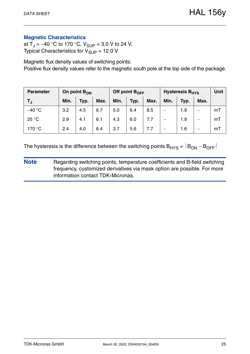### **Magnetic Characteristics**

at  $T_J = -40$  °C to 170 °C,  $V_{SUP} = 3.0$  V to 24 V, Typical Characteristics for  $V_{\text{SUP}} = 12.0 \text{ V}$ 

Magnetic flux density values of switching points: Positive flux density values refer to the magnetic south pole at the top side of the package.

| <b>Parameter</b> | On point $B_{ON}$ |      |      | Off point $B_{OFF}$ |      |      | <b>Hysteresis B<sub>HYS</sub></b> | <b>Unit</b> |      |    |
|------------------|-------------------|------|------|---------------------|------|------|-----------------------------------|-------------|------|----|
| T,               | Min.              | Typ. | Max. | Min.                | Typ. | Max. | Min.                              | Typ.        | Max. |    |
| $-40$ °C         | 3.2               | 4.5  | 6.7  | 5.0                 | 6.4  | 8.5  |                                   | 1.9         |      | mT |
| 25 °C            | 2.9               | 4.1  | 6.1  | 4.3                 | 6.0  | 7.7  |                                   | 1.9         |      | mT |
| 170 °C           | 2.4               | 4.0  | 6.4  | 3.7                 | 5.6  | 7.7  |                                   | 1.6         |      | mT |

The hysteresis is the difference between the switching points  $B_{HYS} = |B_{ON} - B_{OFF}|$ 

**Note** Regarding switching points, temperature coefficients and B-field switching frequency, customized derivatives via mask option are possible. For more information contact TDK-Micronas.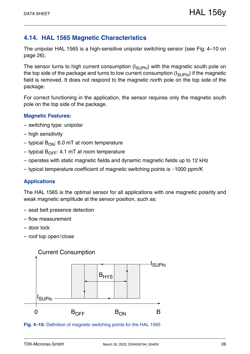## <span id="page-25-0"></span>**4.14. HAL 1565 Magnetic Characteristics**

The unipolar HAL 1565 is a high-sensitive unipolar switching sensor [\(see Fig. 4–10 on](#page-25-1) [page 26\)](#page-25-1).

The sensor turns to high current consumption  $(I_{\text{SUPhi}})$  with the magnetic south pole on the top side of the package and turns to low current consumption  $(I_{\text{SUPlo}})$  if the magnetic field is removed. It does not respond to the magnetic north pole on the top side of the package.

For correct functioning in the application, the sensor requires only the magnetic south pole on the top side of the package.

### **Magnetic Features:**

- switching type: unipolar
- high sensitivity
- typical  $B_{ON}$ : 6.0 mT at room temperature
- typical  $B_{\text{OFF}}$ : 4.1 mT at room temperature
- operates with static magnetic fields and dynamic magnetic fields up to 12 kHz
- typical temperature coefficient of magnetic switching points is  $-1000$  ppm/K

### **Applications**

The HAL 1565 is the optimal sensor for all applications with one magnetic polarity and weak magnetic amplitude at the sensor position, such as:

- seat belt presence detection
- flow measurement
- door lock
- roof top open/close





<span id="page-25-1"></span>**Fig. 4–10:** Definition of magnetic switching points for the HAL 1565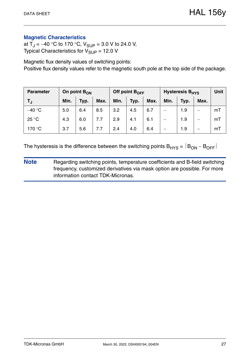### **Magnetic Characteristics**

at  $T_J = -40$  °C to 170 °C,  $V_{SUP} = 3.0$  V to 24.0 V, Typical Characteristics for  $V_{\text{SUP}} = 12.0 \text{ V}$ 

Magnetic flux density values of switching points: Positive flux density values refer to the magnetic south pole at the top side of the package.

| <b>Parameter</b> | On point $B_{ON}$ |      |      |      | Off point $B_{OFF}$ |      | <b>Hysteresis B<sub>HYS</sub></b> | <b>Unit</b> |      |    |
|------------------|-------------------|------|------|------|---------------------|------|-----------------------------------|-------------|------|----|
| TJ.              | Min.              | Typ. | Max. | Min. | Typ.                | Max. | Min.                              | Typ.        | Max. |    |
| $-40$ °C         | 5.0               | 6.4  | 8.5  | 3.2  | 4.5                 | 6.7  |                                   | 1.9         |      | mT |
| 25 °C            | 4.3               | 6.0  | 7.7  | 2.9  | 4.1                 | 6.1  |                                   | 1.9         |      | mT |
| 170 °C           | 3.7               | 5.6  | 7.7  | 2.4  | 4.0                 | 6.4  |                                   | 1.9         |      | mT |

The hysteresis is the difference between the switching points  $B_{HYS} = |B_{ON} - B_{OFF}|$ 

**Note** Regarding switching points, temperature coefficients and B-field switching frequency, customized derivatives via mask option are possible. For more information contact TDK-Micronas.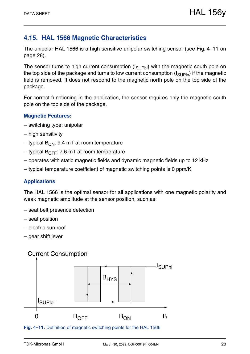## <span id="page-27-0"></span>**4.15. HAL 1566 Magnetic Characteristics**

The unipolar HAL 1566 is a high-sensitive unipolar switching sensor [\(see Fig. 4–11 on](#page-27-1) [page 28\)](#page-27-1).

The sensor turns to high current consumption  $(I_{\text{SUPhi}})$  with the magnetic south pole on the top side of the package and turns to low current consumption  $(I_{\text{SUPlo}})$  if the magnetic field is removed. It does not respond to the magnetic north pole on the top side of the package.

For correct functioning in the application, the sensor requires only the magnetic south pole on the top side of the package.

### **Magnetic Features:**

- switching type: unipolar
- high sensitivity
- typical  $B_{ON}$ : 9.4 mT at room temperature
- typical  $B_{\text{OFF}}$ : 7.6 mT at room temperature
- operates with static magnetic fields and dynamic magnetic fields up to 12 kHz
- typical temperature coefficient of magnetic switching points is 0 ppm/K

### **Applications**

The HAL 1566 is the optimal sensor for all applications with one magnetic polarity and weak magnetic amplitude at the sensor position, such as:

- seat belt presence detection
- seat position
- electric sun roof
- gear shift lever

## Current Consumption



<span id="page-27-1"></span>**Fig. 4–11:** Definition of magnetic switching points for the HAL 1566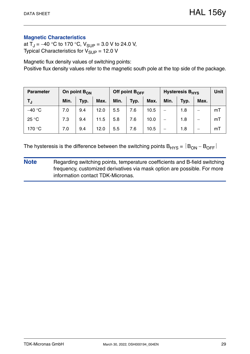### **Magnetic Characteristics**

at  $T_J = -40$  °C to 170 °C,  $V_{SUP} = 3.0$  V to 24.0 V, Typical Characteristics for  $V_{\text{SUP}} = 12.0 \text{ V}$ 

Magnetic flux density values of switching points: Positive flux density values refer to the magnetic south pole at the top side of the package.

| <b>Parameter</b> | On point B <sub>ON</sub> |      |      |      | Off point $B_{OFF}$ |      | <b>Hysteresis B<sub>HYS</sub></b> | Unit |                          |    |
|------------------|--------------------------|------|------|------|---------------------|------|-----------------------------------|------|--------------------------|----|
| T,               | Min.                     | Typ. | Max. | Min. | Typ.                | Max. | Min.                              | Typ. | Max.                     |    |
| $-40 °C$         | 7.0                      | 9.4  | 12.0 | 5.5  | 7.6                 | 10.5 | $\overline{\phantom{0}}$          | 1.8  | –                        | mT |
| 25 °C            | 7.3                      | 9.4  | 11.5 | 5.8  | 7.6                 | 10.0 | $\qquad \qquad$                   | 1.8  | $\overline{\phantom{0}}$ | mT |
| 170 °C           | 7.0                      | 9.4  | 12.0 | 5.5  | 7.6                 | 10.5 |                                   | 1.8  |                          | mT |

The hysteresis is the difference between the switching points  $B_{HYS} = |B_{ON} - B_{OFF}|$ 

**Note** Regarding switching points, temperature coefficients and B-field switching frequency, customized derivatives via mask option are possible. For more information contact TDK-Micronas.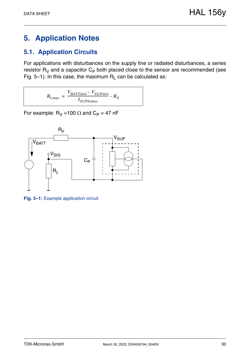# <span id="page-29-0"></span>**5. Application Notes**

## <span id="page-29-1"></span>**5.1. Application Circuits**

For applications with disturbances on the supply line or radiated disturbances, a series resistor  $R_V$  and a capacitor  $C_P$  both placed close to the sensor are recommended [\(see](#page-29-2) [Fig. 5–1\).](#page-29-2) In this case, the maximum  $R_L$  can be calculated as:

$$
R_{Lmax} = \frac{V_{BATTmin} - V_{SUPmin}}{I_{SUPhimax}} - R_V
$$

For example:  $R_V = 100 \Omega$  and  $C_P = 47 \text{ nF}$ 



<span id="page-29-2"></span>**Fig. 5–1:** Example application circuit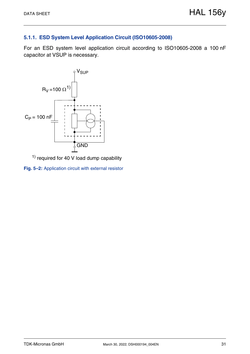## <span id="page-30-0"></span>**5.1.1. ESD System Level Application Circuit (ISO10605-2008)**

For an ESD system level application circuit according to ISO10605-2008 a 100 nF capacitor at VSUP is necessary.



<span id="page-30-1"></span> $1)$  required for 40 V load dump capability

**Fig. 5–2:** Application circuit with external resistor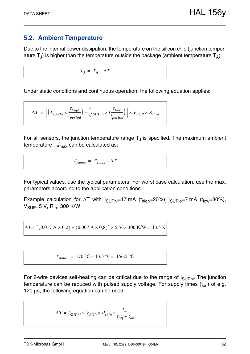## <span id="page-31-1"></span><span id="page-31-0"></span>**5.2. Ambient Temperature**

Due to the internal power dissipation, the temperature on the silicon chip (junction temperature  $T_{J}$ ) is higher than the temperature outside the package (ambient temperature  $T_{A}$ ).

 $T_I = T_A + \Delta T$ 

Under static conditions and continuous operation, the following equation applies:

$$
\Delta T = \left[\left(I_{SUPhi} \times \frac{t_{high}}{t_{period}}\right) + \left(I_{SUPlo} \times t \frac{t_{low}}{t_{period}}\right)\right] \times V_{SUP} \times R_{thja}
$$

For all sensors, the junction temperature range  $T_{\text{J}}$  is specified. The maximum ambient temperature  $T_{Amax}$  can be calculated as:

$$
T_{Amax} = T_{Jmax} - \Delta T
$$

For typical values, use the typical parameters. For worst case calculation, use the max. parameters according to the application conditions.

Example calculation for  $\Delta T$  with  $I_{\text{SUPhi}}=17 \text{ mA}$  ( $t_{\text{high}}=20\%$ ),  $I_{\text{SUPlo}}=7 \text{ mA}$  ( $t_{\text{low}}=80\%$ ),  $V_{\text{SUP}} = 5 V$ , R<sub>th</sub>=300 K/W

 $\Delta T$ =  $[(0.017 \text{ A} \times 0.2) + (0.007 \text{ A} \times 0.8)] \times 5 \text{ V} \times 300 \text{ K/W}$ = 13.5 K

$$
T_{Amax} = 170 \,^{\circ}\text{C} - 13.5 \,^{\circ}\text{C} = 156.5 \,^{\circ}\text{C}
$$

For 2-wire devices self-heating can be critical due to the range of  $I_{\text{SUPhi}}$ . The junction temperature can be reduced with pulsed supply voltage. For supply times  $(t_{on})$  of e.g. 120  $\mu$ s, the following equation can be used:

$$
\Delta T = I_{SUPhi} \times V_{SUP} \times R_{thja} \times \frac{t_{on}}{t_{off} + t_{on}}
$$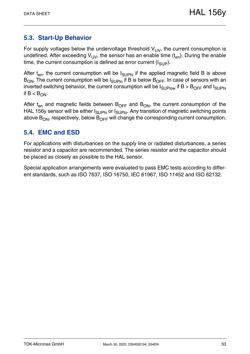## <span id="page-32-0"></span>**5.3. Start-Up Behavior**

For supply voltages below the undervoltage threshold  $V_{UV}$ , the current consumption is undefined. After exceeding  $V_{UV}$ , the sensor has an enable time  $(t_{en})$ . During the enable time, the current consumption is defined as error current  $(I_{SIIP})$ .

After  $t_{en}$ , the current consumption will be  $I_{\text{SUPhi}}$  if the applied magnetic field B is above  $B_{ON}$ . The current consumption will be  $I_{SUPIO}$  if B is below  $B_{OFF}$ . In case of sensors with an inverted switching behavior, the current consumption will be  $I_{\text{SUPlow}}$  if B > B<sub>OFF</sub> and  $I_{\text{SUPhi}}$ if  $B < B_{ON}$ .

After  $t_{en}$  and magnetic fields between  $B_{OFF}$  and  $B_{ON}$ , the current consumption of the HAL 156y sensor will be either  $I_{\text{SUPhi}}$  or  $I_{\text{SUPlo}}$ . Any transition of magnetic switching points above  $B_{ON}$ , respectively, below  $B_{OFF}$  will change the corresponding current consumption.

## <span id="page-32-1"></span>**5.4. EMC and ESD**

For applications with disturbances on the supply line or radiated disturbances, a series resistor and a capacitor are recommended. The series resistor and the capacitor should be placed as closely as possible to the HAL sensor.

Special application arrangements were evaluated to pass EMC tests according to different standards, such as ISO 7637, ISO 16750, IEC 61967, ISO 11452 and ISO 62132.